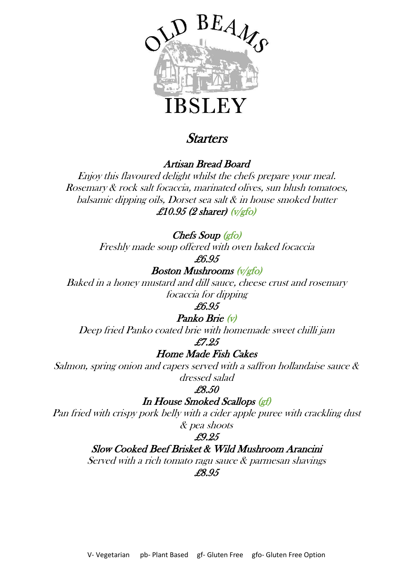

## **Starters**

Artisan Bread Board

Enjoy this flavoured delight whilst the chefs prepare your meal. Rosemary & rock salt focaccia, marinated olives, sun blush tomatoes, balsamic dipping oils, Dorset sea salt & in house smoked butter £10.95 (2 sharer)  $(v/\text{gfo})$ 

Chefs Soup (gfo)

Freshly made soup offered with oven baked focaccia

£6.95

Boston Mushrooms (v/gfo)

Baked in a honey mustard and dill sauce, cheese crust and rosemary focaccia for dipping

£6.95

#### Panko Brie (v)

Deep fried Panko coated brie with homemade sweet chilli jam

£7.25

#### Home Made Fish Cakes

Salmon, spring onion and capers served with a saffron hollandaise sauce & dressed salad

£8.50

In House Smoked Scallops (gf)

Pan fried with crispy pork belly with a cider apple puree with crackling dust & pea shoots

#### £9.25

Slow Cooked Beef Brisket & Wild Mushroom Arancini

Served with a rich tomato ragu sauce & parmesan shavings

#### £8.95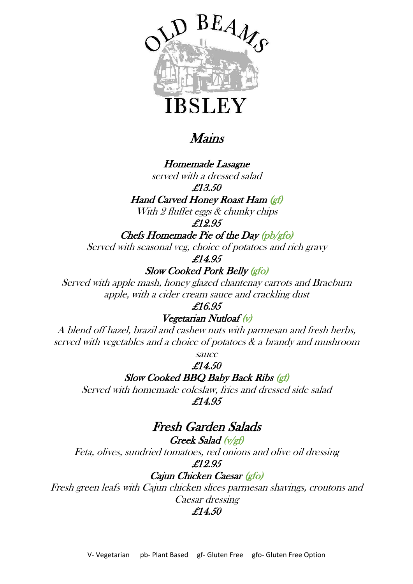

## Mains

Homemade Lasagne served with a dressed salad

£13.50

Hand Carved Honey Roast Ham (gf)

With 2 fluffet eggs & chunky chips

£12.95

Chefs Homemade Pie of the Day (pb/gfo)

Served with seasonal veg, choice of potatoes and rich gravy

£14.95

Slow Cooked Pork Belly (gfo)

Served with apple mash, honey glazed chantenay carrots and Braeburn apple, with a cider cream sauce and crackling dust

£16.95

Vegetarian Nutloaf (v)

A blend off hazel, brazil and cashew nuts with parmesan and fresh herbs, served with vegetables and a choice of potatoes & a brandy and mushroom

sauce

£14.50

Slow Cooked BBQ Baby Back Ribs (gf)

Served with homemade coleslaw, fries and dressed side salad £14.95

## Fresh Garden Salads

Greek Salad (v/gf) Feta, olives, sundried tomatoes, red onions and olive oil dressing £12.95

Cajun Chicken Caesar (gfo)

Fresh green leafs with Cajun chicken slices parmesan shavings, croutons and Caesar dressing

£14.50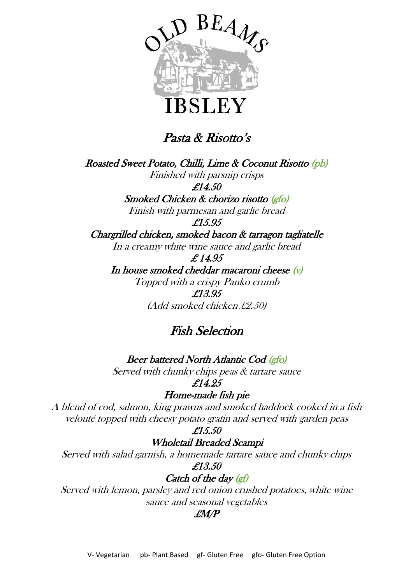

Pasta & Risotto's

Roasted Sweet Potato, Chilli, Lime & Coconut Risotto (pb) Finished with parsnip crisps £14.50 Smoked Chicken & chorizo risotto (gfo) Finish with parmesan and garlic bread £15.95 Chargrilled chicken, smoked bacon & tarragon tagliatelle In a creamy white wine sauce and garlic bread £ 14.95 In house smoked cheddar macaroni cheese  $(v)$ Topped with a crispy Panko crumb

£13.95 (Add smoked chicken £2.50)

## Fish Selection

Beer battered North Atlantic Cod (gfo)

Served with chunky chips peas & tartare sauce £14.25

Home-made fish pie

A blend of cod, salmon, king prawns and smoked haddock cooked in a fish velouté topped with cheesy potato gratin and served with garden peas

£15.50

Wholetail Breaded Scampi

Served with salad garnish, a homemade tartare sauce and chunky chips £13.50

#### Catch of the day (gf)

Served with lemon, parsley and red onion crushed potatoes, white wine sauce and seasonal vegetables

#### £M/P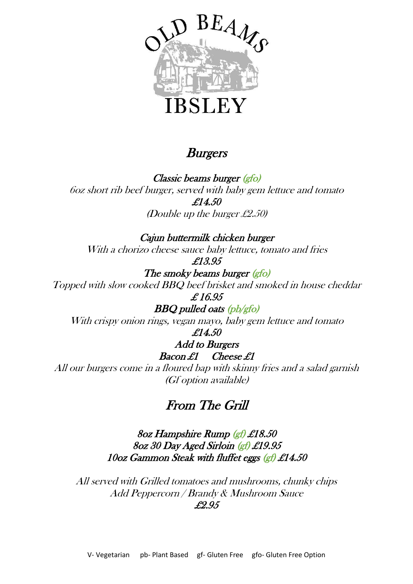

## **Burgers**

Classic beams burger (gfo) 6oz short rib beef burger, served with baby gem lettuce and tomato £14.50 (Double up the burger £2.50)

Cajun buttermilk chicken burger With <sup>a</sup> chorizo cheese sauce baby lettuce, tomato and fries

£13.95

The smoky beams burger (gfo) Topped with slow cooked BBQ beef brisket and smoked in house cheddar £ 16.95

BBQ pulled oats (pb/gfo)

With crispy onion rings, vegan mayo, baby gem lettuce and tomato

#### £14.50 Add to Burgers

## Bacon £1 Cheese £1

All our burgers come in a floured bap with skinny fries and a salad garnish (Gf option available)

## From The Grill

8oz Hampshire Rump (gf) £18.50 8oz 30 Day Aged Sirloin (gf) £19.95 10oz Gammon Steak with fluffet eggs (gf) £14.50

All served with Grilled tomatoes and mushrooms, chunky chips Add Peppercorn / Brandy & Mushroom Sauce £2.95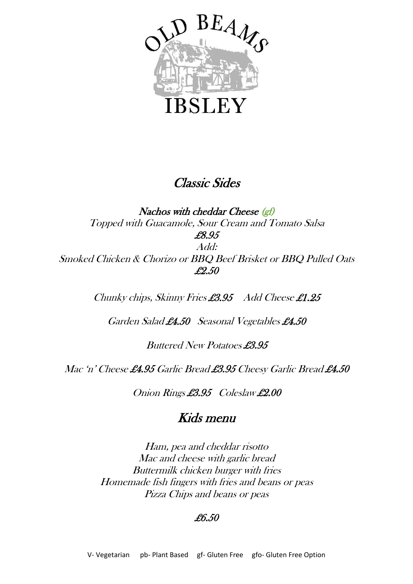

## Classic Sides

Nachos with cheddar Cheese (gf) Topped with Guacamole, Sour Cream and Tomato Salsa £8.95 Add: Smoked Chicken & Chorizo or BBQ Beef Brisket or BBQ Pulled Oats £2.50

Chunky chips, Skinny Fries £3.95 Add Cheese £1.25

Garden Salad £4.50 Seasonal Vegetables £4.50

Buttered New Potatoes £3.95

Mac 'n' Cheese £4.95 Garlic Bread £3.95 Cheesy Garlic Bread £4.50

Onion Rings £3.95 Coleslaw £2.00

## Kids menu

Ham, pea and cheddar risotto Mac and cheese with garlic bread Buttermilk chicken burger with fries Homemade fish fingers with fries and beans or peas Pizza Chips and beans or peas

#### £6.50